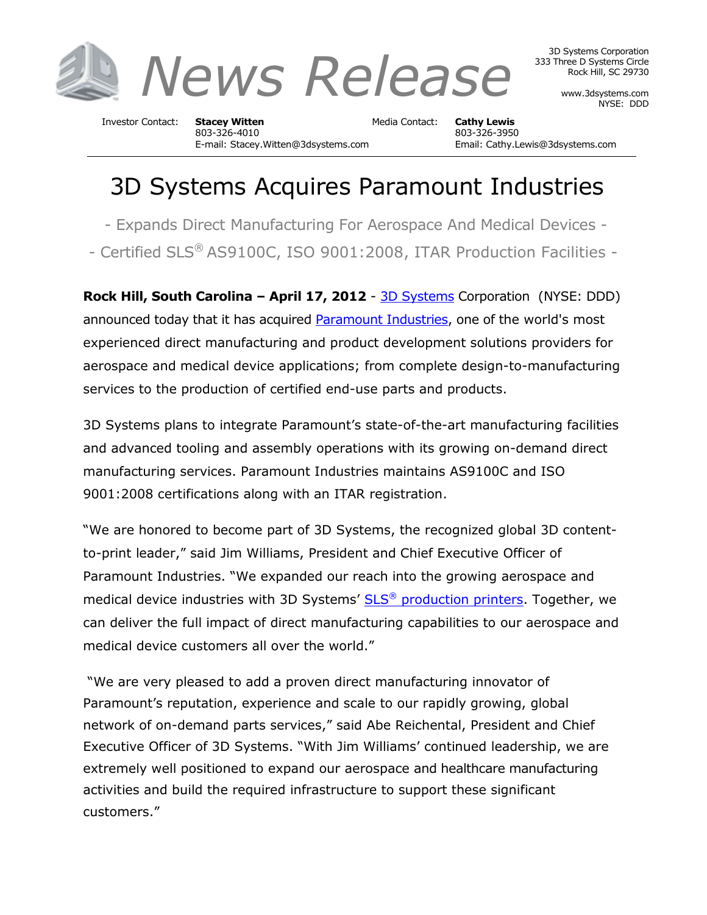

3D Systems Corporation 333 Three D Systems Circle Rock Hill, SC 29730

> www.3dsystems.com NYSE: DDD

Investor Contact: **Stacey Witten** Media Contact: **Cathy Lewis** 803-326-4010 803-326-3950

E-mail: Stacey.Witten@3dsystems.com Email: Cathy.Lewis@3dsystems.com

## 3D Systems Acquires Paramount Industries

- Expands Direct Manufacturing For Aerospace And Medical Devices -

- Certified SLS® AS9100C, ISO 9001:2008, ITAR Production Facilities -

**Rock Hill, South Carolina – April 17, 2012** - [3D Systems](http://www.3dsystems.com/) Corporation (NYSE: DDD) announced today that it has acquired [Paramount Industries,](http://www.paramountind.com/) one of the world's most experienced direct manufacturing and product development solutions providers for aerospace and medical device applications; from complete design-to-manufacturing services to the production of certified end-use parts and products.

3D Systems plans to integrate Paramount's state-of-the-art manufacturing facilities and advanced tooling and assembly operations with its growing on-demand direct manufacturing services. Paramount Industries maintains AS9100C and ISO 9001:2008 certifications along with an ITAR registration.

"We are honored to become part of 3D Systems, the recognized global 3D contentto-print leader," said Jim Williams, President and Chief Executive Officer of Paramount Industries. "We expanded our reach into the growing aerospace and medical device industries with 3D Systems' SLS<sup>®</sup> [production printers.](http://www.production3dprinters.com/) Together, we can deliver the full impact of direct manufacturing capabilities to our aerospace and medical device customers all over the world."

"We are very pleased to add a proven direct manufacturing innovator of Paramount's reputation, experience and scale to our rapidly growing, global network of on-demand parts services," said Abe Reichental, President and Chief Executive Officer of 3D Systems. "With Jim Williams' continued leadership, we are extremely well positioned to expand our aerospace and healthcare manufacturing activities and build the required infrastructure to support these significant customers."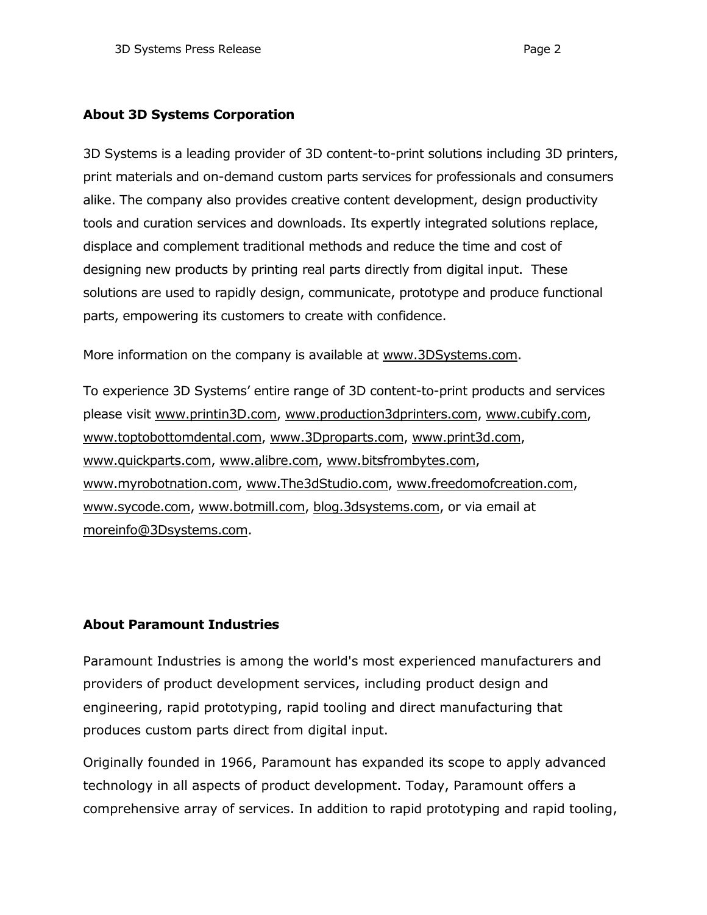## **About 3D Systems Corporation**

3D Systems is a leading provider of 3D content-to-print solutions including 3D printers, print materials and on-demand custom parts services for professionals and consumers alike. The company also provides creative content development, design productivity tools and curation services and downloads. Its expertly integrated solutions replace, displace and complement traditional methods and reduce the time and cost of designing new products by printing real parts directly from digital input. These solutions are used to rapidly design, communicate, prototype and produce functional parts, empowering its customers to create with confidence.

More information on the company is available at [www.3DSystems.com.](http://www.3dsystems.com/)

To experience 3D Systems' entire range of 3D content-to-print products and services please visit [www.printin3D.com,](http://www.printin3d.com/) [www.production3dprinters.com,](http://www.production3dprinters.com/) [www.cubify.com,](http://www.cubify.com/) [www.toptobottomdental.com,](http://www.toptobottomdental.com/) [www.3Dproparts.com,](http://www.3dproparts.com/) [www.print3d.com,](http://www.print3d.com/) [www.quickparts.com,](http://www.quickparts.com/) [www.alibre.com,](http://www.alibre.com/) [www.bitsfrombytes.com,](http://www.bitsfrombytes.com/) [www.myrobotnation.com,](http://www.myrobotnation.com/) [www.The3dStudio.com,](http://www.the3dstudio.com/) [www.freedomofcreation.com,](http://www.freedomofcreation.com/) [www.sycode.com,](http://www.sycode.com/) [www.botmill.com,](http://www.botmill.com/) [blog.3dsystems.com,](http://blog.3dsystems.com/) or via email at [moreinfo@3Dsystems.com.](mailto:moreinfo@3dsystems.com)

## **About Paramount Industries**

Paramount Industries is among the world's most experienced manufacturers and providers of product development services, including [product design and](http://www.paramountind.com/new-product-development.html)  [engineering,](http://www.paramountind.com/new-product-development.html) [rapid prototyping,](http://www.paramountind.com/rapid-prototyping.html) [rapid tooling](http://www.paramountind.com/rapid-tooling.html) and direct [manufacturing](http://www.paramountind.com/rapid-manufacturing.html) that produces custom parts direct from digital input.

Originally founded in 1966, Paramount has expanded its scope to apply advanced technology in all aspects of product development. Today, Paramount offers a comprehensive array of services. In addition to rapid prototyping and rapid tooling,